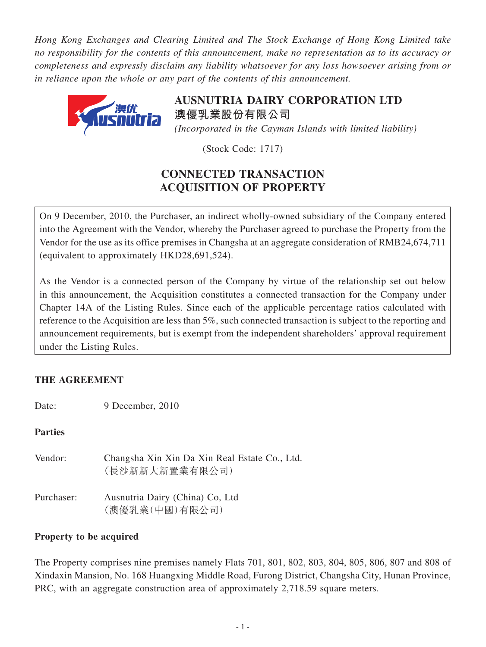*Hong Kong Exchanges and Clearing Limited and The Stock Exchange of Hong Kong Limited take no responsibility for the contents of this announcement, make no representation as to its accuracy or completeness and expressly disclaim any liability whatsoever for any loss howsoever arising from or in reliance upon the whole or any part of the contents of this announcement.*



**AUSNUTRIA DAIRY CORPORATION LTD 澳優乳業股份有限公司** *(Incorporated in the Cayman Islands with limited liability)*

(Stock Code: 1717)

# **CONNECTED TRANSACTION ACQUISITION OF PROPERTY**

On 9 December, 2010, the Purchaser, an indirect wholly-owned subsidiary of the Company entered into the Agreement with the Vendor, whereby the Purchaser agreed to purchase the Property from the Vendor for the use as its office premises in Changsha at an aggregate consideration of RMB24,674,711 (equivalent to approximately HKD28,691,524).

As the Vendor is a connected person of the Company by virtue of the relationship set out below in this announcement, the Acquisition constitutes a connected transaction for the Company under Chapter 14A of the Listing Rules. Since each of the applicable percentage ratios calculated with reference to the Acquisition are less than 5%, such connected transaction is subject to the reporting and announcement requirements, but is exempt from the independent shareholders' approval requirement under the Listing Rules.

# **THE AGREEMENT**

Date: 9 December, 2010

**Parties**

Vendor: Changsha Xin Xin Da Xin Real Estate Co., Ltd. (長沙新新大新置業有限公司) Purchaser: Ausnutria Dairy (China) Co, Ltd (澳優乳業(中國)有限公司)

# **Property to be acquired**

The Property comprises nine premises namely Flats 701, 801, 802, 803, 804, 805, 806, 807 and 808 of Xindaxin Mansion, No. 168 Huangxing Middle Road, Furong District, Changsha City, Hunan Province, PRC, with an aggregate construction area of approximately 2,718.59 square meters.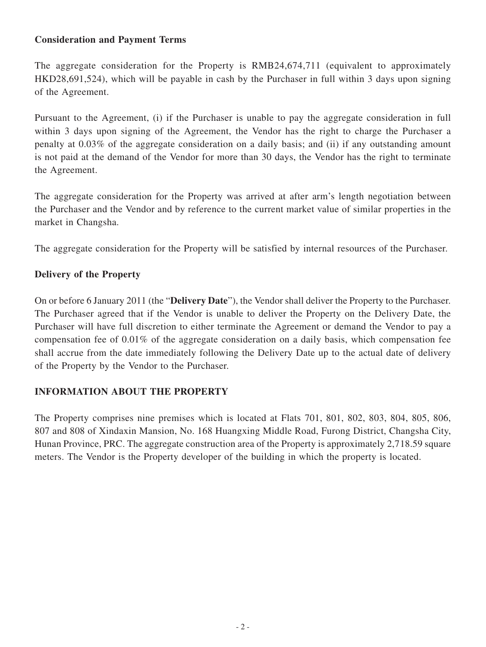## **Consideration and Payment Terms**

The aggregate consideration for the Property is RMB24,674,711 (equivalent to approximately HKD28,691,524), which will be payable in cash by the Purchaser in full within 3 days upon signing of the Agreement.

Pursuant to the Agreement, (i) if the Purchaser is unable to pay the aggregate consideration in full within 3 days upon signing of the Agreement, the Vendor has the right to charge the Purchaser a penalty at 0.03% of the aggregate consideration on a daily basis; and (ii) if any outstanding amount is not paid at the demand of the Vendor for more than 30 days, the Vendor has the right to terminate the Agreement.

The aggregate consideration for the Property was arrived at after arm's length negotiation between the Purchaser and the Vendor and by reference to the current market value of similar properties in the market in Changsha.

The aggregate consideration for the Property will be satisfied by internal resources of the Purchaser.

#### **Delivery of the Property**

On or before 6 January 2011 (the "**Delivery Date**"), the Vendor shall deliver the Property to the Purchaser. The Purchaser agreed that if the Vendor is unable to deliver the Property on the Delivery Date, the Purchaser will have full discretion to either terminate the Agreement or demand the Vendor to pay a compensation fee of 0.01% of the aggregate consideration on a daily basis, which compensation fee shall accrue from the date immediately following the Delivery Date up to the actual date of delivery of the Property by the Vendor to the Purchaser.

#### **INFORMATION ABOUT THE PROPERTY**

The Property comprises nine premises which is located at Flats 701, 801, 802, 803, 804, 805, 806, 807 and 808 of Xindaxin Mansion, No. 168 Huangxing Middle Road, Furong District, Changsha City, Hunan Province, PRC. The aggregate construction area of the Property is approximately 2,718.59 square meters. The Vendor is the Property developer of the building in which the property is located.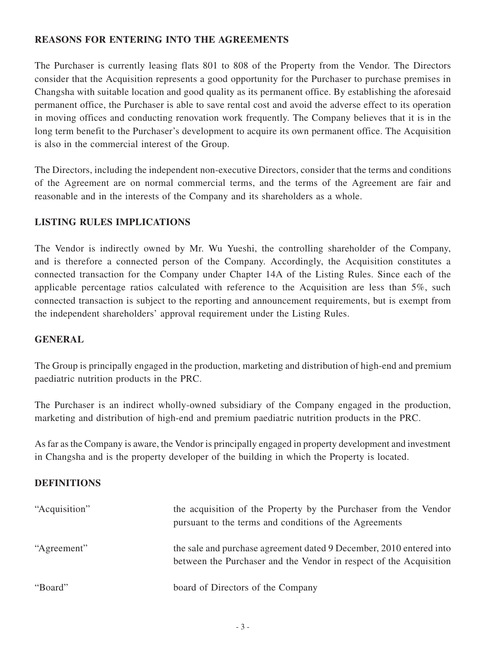#### **REASONS FOR ENTERING INTO THE AGREEMENTS**

The Purchaser is currently leasing flats 801 to 808 of the Property from the Vendor. The Directors consider that the Acquisition represents a good opportunity for the Purchaser to purchase premises in Changsha with suitable location and good quality as its permanent office. By establishing the aforesaid permanent office, the Purchaser is able to save rental cost and avoid the adverse effect to its operation in moving offices and conducting renovation work frequently. The Company believes that it is in the long term benefit to the Purchaser's development to acquire its own permanent office. The Acquisition is also in the commercial interest of the Group.

The Directors, including the independent non-executive Directors, consider that the terms and conditions of the Agreement are on normal commercial terms, and the terms of the Agreement are fair and reasonable and in the interests of the Company and its shareholders as a whole.

## **LISTING RULES IMPLICATIONS**

The Vendor is indirectly owned by Mr. Wu Yueshi, the controlling shareholder of the Company, and is therefore a connected person of the Company. Accordingly, the Acquisition constitutes a connected transaction for the Company under Chapter 14A of the Listing Rules. Since each of the applicable percentage ratios calculated with reference to the Acquisition are less than 5%, such connected transaction is subject to the reporting and announcement requirements, but is exempt from the independent shareholders' approval requirement under the Listing Rules.

#### **GENERAL**

The Group is principally engaged in the production, marketing and distribution of high-end and premium paediatric nutrition products in the PRC.

The Purchaser is an indirect wholly-owned subsidiary of the Company engaged in the production, marketing and distribution of high-end and premium paediatric nutrition products in the PRC.

As far as the Company is aware, the Vendor is principally engaged in property development and investment in Changsha and is the property developer of the building in which the Property is located.

#### **DEFINITIONS**

| "Acquisition" | the acquisition of the Property by the Purchaser from the Vendor<br>pursuant to the terms and conditions of the Agreements                |
|---------------|-------------------------------------------------------------------------------------------------------------------------------------------|
| "Agreement"   | the sale and purchase agreement dated 9 December, 2010 entered into<br>between the Purchaser and the Vendor in respect of the Acquisition |
| "Board"       | board of Directors of the Company                                                                                                         |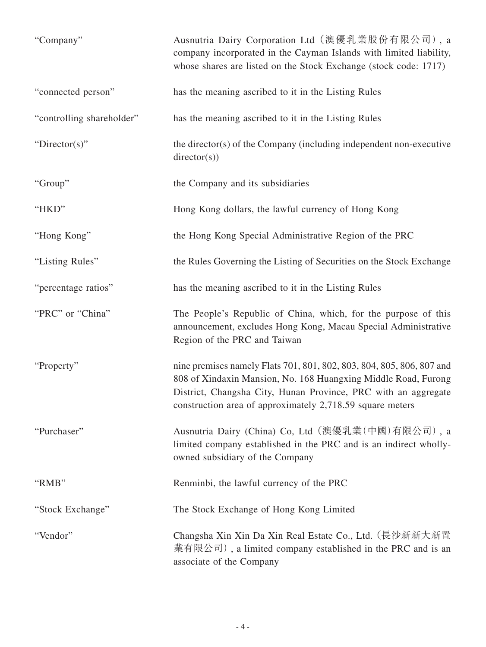| "Company"                 | Ausnutria Dairy Corporation Ltd (澳優乳業股份有限公司), a<br>company incorporated in the Cayman Islands with limited liability,<br>whose shares are listed on the Stock Exchange (stock code: 1717)                                                                              |
|---------------------------|------------------------------------------------------------------------------------------------------------------------------------------------------------------------------------------------------------------------------------------------------------------------|
| "connected person"        | has the meaning ascribed to it in the Listing Rules                                                                                                                                                                                                                    |
| "controlling shareholder" | has the meaning ascribed to it in the Listing Rules                                                                                                                                                                                                                    |
| " $Directory$ "           | the director(s) of the Company (including independent non-executive<br>directory(s))                                                                                                                                                                                   |
| "Group"                   | the Company and its subsidiaries                                                                                                                                                                                                                                       |
| "HKD"                     | Hong Kong dollars, the lawful currency of Hong Kong                                                                                                                                                                                                                    |
| "Hong Kong"               | the Hong Kong Special Administrative Region of the PRC                                                                                                                                                                                                                 |
| "Listing Rules"           | the Rules Governing the Listing of Securities on the Stock Exchange                                                                                                                                                                                                    |
| "percentage ratios"       | has the meaning ascribed to it in the Listing Rules                                                                                                                                                                                                                    |
| "PRC" or "China"          | The People's Republic of China, which, for the purpose of this<br>announcement, excludes Hong Kong, Macau Special Administrative<br>Region of the PRC and Taiwan                                                                                                       |
| "Property"                | nine premises namely Flats 701, 801, 802, 803, 804, 805, 806, 807 and<br>808 of Xindaxin Mansion, No. 168 Huangxing Middle Road, Furong<br>District, Changsha City, Hunan Province, PRC with an aggregate<br>construction area of approximately 2,718.59 square meters |
| "Purchaser"               | Ausnutria Dairy (China) Co, Ltd (澳優乳業(中國)有限公司), a<br>limited company established in the PRC and is an indirect wholly-<br>owned subsidiary of the Company                                                                                                              |
| "RMB"                     | Renminbi, the lawful currency of the PRC                                                                                                                                                                                                                               |
| "Stock Exchange"          | The Stock Exchange of Hong Kong Limited                                                                                                                                                                                                                                |
| "Vendor"                  | Changsha Xin Xin Da Xin Real Estate Co., Ltd. (長沙新新大新置<br>業有限公司), a limited company established in the PRC and is an<br>associate of the Company                                                                                                                       |